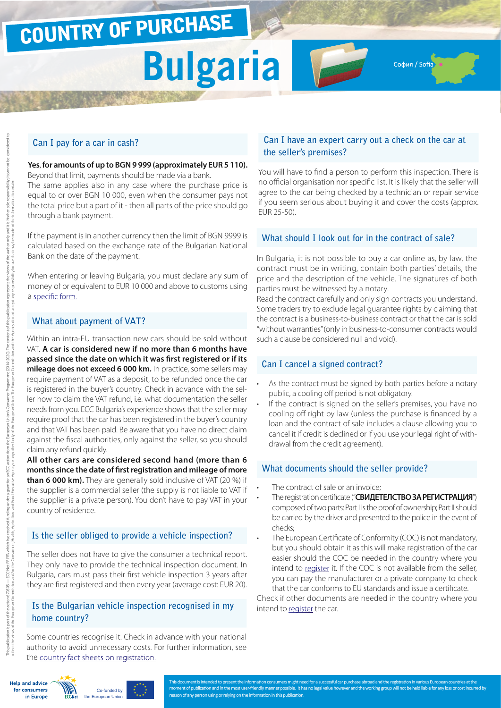## COUNTRY OF PURCHASE

# **Bulgaria**

София / Sofia

### **Can I pay for a car in cash?**

**Yes**, **for amounts of up to BGN 9 999 (approximately EUR 5 110).**  Beyond that limit, payments should be made via a bank. The same applies also in any case where the purchase price is equal to or over BGN 10 000, even when the consumer pays not the total price but a part of it ‐ then all parts of the price should go through a bank payment.

If the payment is in another currency then the limit of BGN 9999 is calculated based on the exchange rate of the Bulgarian National Bank on the date of the payment.

When entering or leaving Bulgaria, you must declare any sum of money of or equivalent to EUR 10 000 and above to customs using a [specific form.](http://ec.europa.eu/taxation_customs/resources/documents/customs/customs_controls/cash_controls/declaration_forms/declaration_form_bg_en.pdf)

### **What about payment of VAT?**

Within an intra-EU transaction new cars should be sold without VAT. **A car is considered new if no more than 6 months have passed since the date on which it was first registered or if its mileage does not exceed 6 000 km.** In practice, some sellers may require payment of VAT as a deposit, to be refunded once the car is registered in the buyer's country. Check in advance with the seller how to claim the VAT refund, i.e. what documentation the seller needs from you. ECC Bulgaria's experience shows that the seller may require proof that the car has been registered in the buyer's country and that VAT has been paid. Be aware that you have no direct claim against the fiscal authorities, only against the seller, so you should claim any refund quickly.

**All other cars are considered second hand (more than 6 months since the date of first registration and mileage of more than 6 000 km).** They are generally sold inclusive of VAT (20 %) if the supplier is a commercial seller (the supply is not liable to VAT if the supplier is a private person). You don't have to pay VAT in your country of residence.

### **Is the seller obliged to provide a vehicle inspection?**

The seller does not have to give the consumer a technical report. They only have to provide the technical inspection document. In Bulgaria, cars must pass their first vehicle inspection 3 years after they are first registered and then every year (average cost: EUR 20).

### **Is the Bulgarian vehicle inspection recognised in my home country?**

Some countries recognise it. Check in advance with your national authority to avoid unnecessary costs. For further information, see the [country fact sheets on registration.](http://www.europe-consommateurs.eu/en/consumer-topics/on-the-road/buying-a-car/cross-border-car-purchase-and-registration/)

### **Can I have an expert carry out a check on the car at the seller's premises?**

You will have to find a person to perform this inspection. There is no official organisation nor specific list. It is likely that the seller will agree to the car being checked by a technician or repair service if you seem serious about buying it and cover the costs (approx. EUR 25-50).

### **What should I look out for in the contract of sale?**

In Bulgaria, it is not possible to buy a car online as, by law, the contract must be in writing, contain both parties' details, the price and the description of the vehicle. The signatures of both parties must be witnessed by a notary.

Read the contract carefully and only sign contracts you understand. Some traders try to exclude legal guarantee rights by claiming that the contract is a business-to-business contract or that the car is sold "without warranties" (only in business-to-consumer contracts would such a clause be considered null and void).

### **Can I cancel a signed contract?**

- As the contract must be signed by both parties before a notary public, a cooling off period is not obligatory.
- If the contract is signed on the seller's premises, you have no cooling off right by law (unless the purchase is financed by a loan and the contract of sale includes a clause allowing you to cancel it if credit is declined or if you use your legal right of withdrawal from the credit agreement).

### **What documents should the seller provide?**

- The contract of sale or an invoice;
- The registration certificate ("**СВИДЕТЕЛСТВО ЗА РЕГИСТРАЦИЯ**") composed of two parts: Part I is the proof of ownership; Part II should be carried by the driver and presented to the police in the event of checks;
- The European Certificate of Conformity (COC) is not mandatory, but you should obtain it as this will make registration of the car easier should the COC be needed in the country where you intend to [register](http://www.europe-consommateurs.eu/en/consumer-topics/on-the-road/buying-a-car/cross-border-car-purchase-and-registration/) it. If the COC is not available from the seller, you can pay the manufacturer or a private company to check that the car conforms to EU standards and issue a certificate.

Check if other documents are needed in the country where you intend to [register](http://www.europe-consommateurs.eu/en/consumer-topics/on-the-road/buying-a-car/cross-border-car-purchase-and-registration/) the car.

**Help and advice** for consumers in Europe



This document is intended to present the information consumers might need for a successful car purchase abroad and the registration in various European countries at the moment of publication and in the most user-friendly manner possible. It has no legal value however and the working group will not be held liable for any loss or cost incurred by on of any person using or relying on the information in this publication.